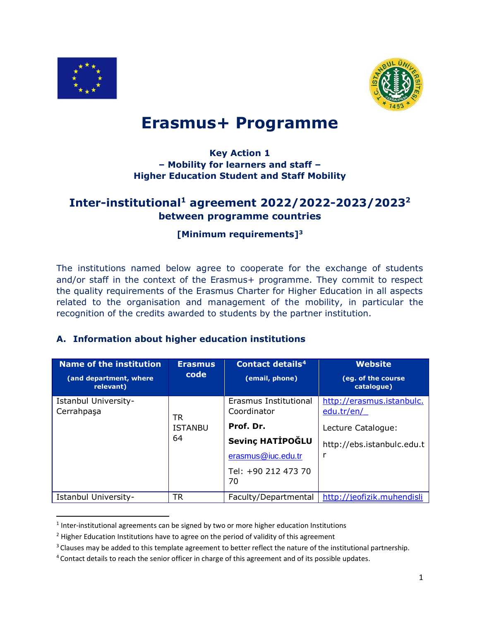

 $\overline{a}$ 



# **Erasmus+ Programme**

### **Key Action 1 – Mobility for learners and staff – Higher Education Student and Staff Mobility**

# **Inter-institutional<sup>1</sup> agreement 2022/2022-2023/2023 2 between programme countries**

## **[Minimum requirements]<sup>3</sup>**

The institutions named below agree to cooperate for the exchange of students and/or staff in the context of the Erasmus+ programme. They commit to respect the quality requirements of the Erasmus Charter for Higher Education in all aspects related to the organisation and management of the mobility, in particular the recognition of the credits awarded to students by the partner institution.

#### **A. Information about higher education institutions**

| <b>Name of the institution</b><br>(and department, where<br>relevant) | <b>Erasmus</b><br>code | <b>Contact details<sup>4</sup></b><br>(email, phone)          | <b>Website</b><br>(eg. of the course<br>catalogue) |
|-----------------------------------------------------------------------|------------------------|---------------------------------------------------------------|----------------------------------------------------|
| Istanbul University-<br>Cerrahpaşa                                    | TR                     | Erasmus Institutional<br>Coordinator                          | http://erasmus.istanbulc.<br>edu.tr/en/            |
|                                                                       | <b>ISTANBU</b>         | Prof. Dr.                                                     | Lecture Catalogue:                                 |
|                                                                       | 64                     | Sevinç HATİPOĞLU<br>erasmus@iuc.edu.tr<br>Tel: +90 212 473 70 | http://ebs.istanbulc.edu.t<br>r                    |
| Istanbul University-                                                  | TR                     | 70<br>Faculty/Departmental                                    | http://jeofizik.muhendisli                         |

 $<sup>1</sup>$  Inter-institutional agreements can be signed by two or more higher education Institutions</sup>

<sup>&</sup>lt;sup>2</sup> Higher Education Institutions have to agree on the period of validity of this agreement

<sup>&</sup>lt;sup>3</sup> Clauses may be added to this template agreement to better reflect the nature of the institutional partnership.

<sup>4</sup> Contact details to reach the senior officer in charge of this agreement and of its possible updates.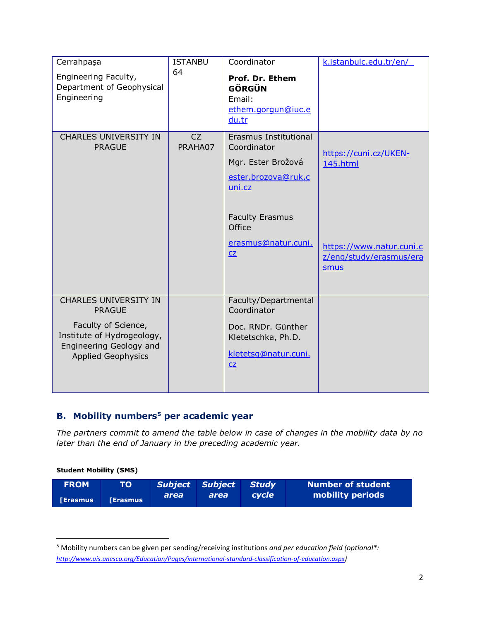| Cerrahpaşa                                                                                                | <b>ISTANBU</b> | Coordinator                                                                                 | k.istanbulc.edu.tr/en/                                      |
|-----------------------------------------------------------------------------------------------------------|----------------|---------------------------------------------------------------------------------------------|-------------------------------------------------------------|
| Engineering Faculty,<br>Department of Geophysical<br>Engineering                                          | 64             | Prof. Dr. Ethem<br><b>GÖRGÜN</b><br>Email:<br>ethem.gorgun@iuc.e<br>du.tr                   |                                                             |
|                                                                                                           |                |                                                                                             |                                                             |
| <b>CHARLES UNIVERSITY IN</b><br><b>PRAGUE</b>                                                             | CZ<br>PRAHA07  | Erasmus Institutional<br>Coordinator<br>Mgr. Ester Brožová<br>ester.brozova@ruk.c<br>uni.cz | https://cuni.cz/UKEN-<br>145.html                           |
|                                                                                                           |                | <b>Faculty Erasmus</b><br>Office<br>erasmus@natur.cuni.<br>CZ                               | https://www.natur.cuni.c<br>z/eng/study/erasmus/era<br>smus |
| <b>CHARLES UNIVERSITY IN</b><br><b>PRAGUE</b>                                                             |                | Faculty/Departmental<br>Coordinator                                                         |                                                             |
| Faculty of Science,<br>Institute of Hydrogeology,<br>Engineering Geology and<br><b>Applied Geophysics</b> |                | Doc. RNDr. Günther<br>Kletetschka, Ph.D.<br>kletetsg@natur.cuni.<br>CZ                      |                                                             |

## **B. Mobility numbers<sup>5</sup> per academic year**

*The partners commit to amend the table below in case of changes in the mobility data by no later than the end of January in the preceding academic year.*

#### **Student Mobility (SMS)**

 $\overline{a}$ 

| <b>FROM</b>     | TO'             |      | <b>Subject Subject Study</b> |              | Number of student |
|-----------------|-----------------|------|------------------------------|--------------|-------------------|
| <b>TErasmus</b> | <b>LErasmus</b> | area | area                         | <i>cvcle</i> | mobility periods  |

<sup>5</sup> Mobility numbers can be given per sending/receiving institutions *and per education field (optional\*: <http://www.uis.unesco.org/Education/Pages/international-standard-classification-of-education.aspx>)*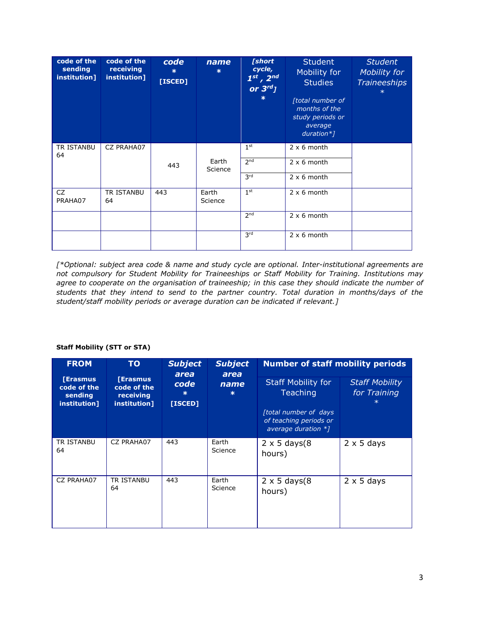| code of the<br>sending<br>institution] | code of the<br>receiving<br>institution] | code<br>$\ast$<br>[ISCED] | name<br>$\star$  | [short<br>cycle,<br>$1^{st}$ , $2^{nd}$<br>or $3^{rd}$ ]<br>$\ast$ | <b>Student</b><br>Mobility for<br><b>Studies</b><br>[total number of<br>months of the<br>study periods or<br>average<br>$duration*$ ] | <b>Student</b><br>Mobility for<br><b>Traineeships</b> |
|----------------------------------------|------------------------------------------|---------------------------|------------------|--------------------------------------------------------------------|---------------------------------------------------------------------------------------------------------------------------------------|-------------------------------------------------------|
| TR ISTANBU<br>64                       | CZ PRAHA07                               |                           |                  | 1 <sup>st</sup>                                                    | $2 \times 6$ month                                                                                                                    |                                                       |
|                                        |                                          | 443                       | Earth<br>Science | 2 <sub>nd</sub>                                                    | $2 \times 6$ month                                                                                                                    |                                                       |
|                                        |                                          |                           |                  | 3rd                                                                | $2 \times 6$ month                                                                                                                    |                                                       |
| CZ<br>PRAHA07                          | TR ISTANBU<br>64                         | 443                       | Earth<br>Science | 1 <sup>st</sup>                                                    | $2 \times 6$ month                                                                                                                    |                                                       |
|                                        |                                          |                           |                  | 2 <sub>nd</sub>                                                    | $2 \times 6$ month                                                                                                                    |                                                       |
|                                        |                                          |                           |                  | 3rd                                                                | $2 \times 6$ month                                                                                                                    |                                                       |

*[\*Optional: subject area code & name and study cycle are optional. Inter-institutional agreements are not compulsory for Student Mobility for Traineeships or Staff Mobility for Training. Institutions may agree to cooperate on the organisation of traineeship; in this case they should indicate the number of students that they intend to send to the partner country. Total duration in months/days of the student/staff mobility periods or average duration can be indicated if relevant.]*

| <b>FROM</b>                                               | <b>TO</b>                                                   | <b>Subject</b><br>area | <b>Subject</b><br>area | <b>Number of staff mobility periods</b>                                                                                         |                                       |
|-----------------------------------------------------------|-------------------------------------------------------------|------------------------|------------------------|---------------------------------------------------------------------------------------------------------------------------------|---------------------------------------|
| <b>[Erasmus</b><br>code of the<br>sending<br>institution] | <b>[Erasmus</b><br>code of the<br>receiving<br>institution] | code<br>ж<br>[ISCED]   | name<br>$\ast$         | <b>Staff Mobility for</b><br><b>Teaching</b><br><i>ftotal number of days</i><br>of teaching periods or<br>average duration $*1$ | <b>Staff Mobility</b><br>for Training |
| TR ISTANBU<br>64                                          | CZ PRAHA07                                                  | 443                    | Earth<br>Science       | $2 \times 5$ days(8)<br>hours)                                                                                                  | $2 \times 5$ days                     |
| CZ PRAHA07                                                | <b>TR ISTANBU</b><br>64                                     | 443                    | Earth<br>Science       | $2 \times 5$ days(8)<br>hours)                                                                                                  | $2 \times 5$ days                     |

#### **Staff Mobility (STT or STA)**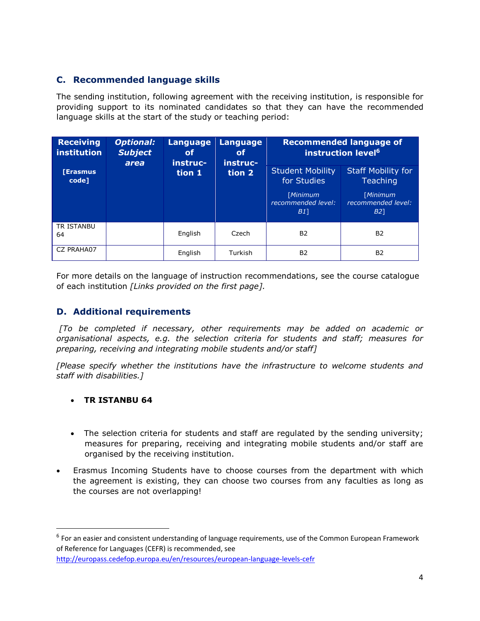### **C. Recommended language skills**

The sending institution, following agreement with the receiving institution, is responsible for providing support to its nominated candidates so that they can have the recommended language skills at the start of the study or teaching period:

| Receiving<br>institution | <b>Optional:</b><br><b>Subject</b><br>area | <b>Language</b><br><b>Language</b><br>of<br>of<br>instruc-<br>instruc-<br>tion 1<br>tion 2 |         | <b>Recommended language of</b><br>instruction level <sup>6</sup> |                                             |  |
|--------------------------|--------------------------------------------|--------------------------------------------------------------------------------------------|---------|------------------------------------------------------------------|---------------------------------------------|--|
| <b>[Erasmus</b><br>code] |                                            |                                                                                            |         | <b>Student Mobility</b><br>for Studies                           | <b>Staff Mobility for</b><br>Teaching       |  |
|                          |                                            |                                                                                            |         | [Minimum<br>recommended level:<br>B1                             | Minimum<br>recommended level:<br><b>B21</b> |  |
| TR ISTANBU<br>64         |                                            | English                                                                                    | Czech   | <b>B2</b>                                                        | B <sub>2</sub>                              |  |
| CZ PRAHA07               |                                            | English                                                                                    | Turkish | <b>B2</b>                                                        | B <sub>2</sub>                              |  |

For more details on the language of instruction recommendations, see the course catalogue of each institution *[Links provided on the first page].*

### **D. Additional requirements**

*[To be completed if necessary, other requirements may be added on academic or organisational aspects, e.g. the selection criteria for students and staff; measures for preparing, receiving and integrating mobile students and/or staff]*

*[Please specify whether the institutions have the infrastructure to welcome students and staff with disabilities.]*

#### **TR ISTANBU 64**

 $\overline{a}$ 

- The selection criteria for students and staff are regulated by the sending university; measures for preparing, receiving and integrating mobile students and/or staff are organised by the receiving institution.
- Erasmus Incoming Students have to choose courses from the department with which the agreement is existing, they can choose two courses from any faculties as long as the courses are not overlapping!

<sup>&</sup>lt;sup>6</sup> For an easier and consistent understanding of language requirements, use of the Common European Framework of Reference for Languages (CEFR) is recommended, see <http://europass.cedefop.europa.eu/en/resources/european-language-levels-cefr>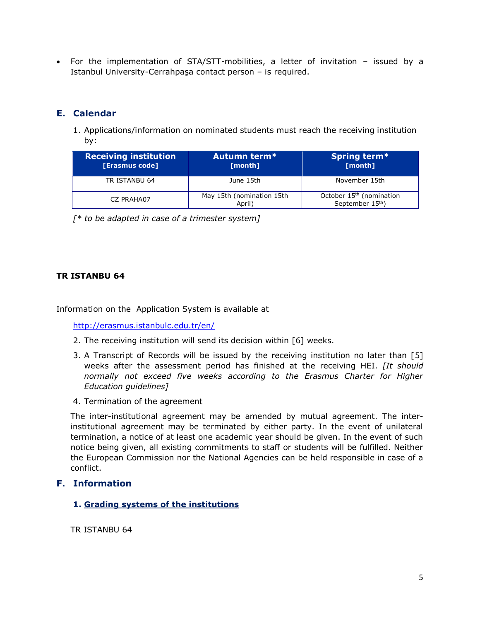For the implementation of STA/STT-mobilities, a letter of invitation – issued by a Istanbul University-Cerrahpaşa contact person – is required.

### **E. Calendar**

1. Applications/information on nominated students must reach the receiving institution by:

| <b>Receiving institution</b><br>[Erasmus code] | Autumn term*<br>[month]             | Spring term*<br>[month]                                              |
|------------------------------------------------|-------------------------------------|----------------------------------------------------------------------|
| TR ISTANBU 64                                  | June 15th                           | November 15th                                                        |
| CZ PRAHA07                                     | May 15th (nomination 15th<br>April) | October 15 <sup>th</sup> (nomination<br>September 15 <sup>th</sup> ) |

*[\* to be adapted in case of a trimester system]*

#### **TR ISTANBU 64**

Information on the Application System is available at

<http://erasmus.istanbulc.edu.tr/en/>

- 2. The receiving institution will send its decision within [6] weeks.
- 3. A Transcript of Records will be issued by the receiving institution no later than [5] weeks after the assessment period has finished at the receiving HEI. *[It should normally not exceed five weeks according to the Erasmus Charter for Higher Education guidelines]*
- 4. Termination of the agreement

The inter-institutional agreement may be amended by mutual agreement. The interinstitutional agreement may be terminated by either party. In the event of unilateral termination, a notice of at least one academic year should be given. In the event of such notice being given, all existing commitments to staff or students will be fulfilled. Neither the European Commission nor the National Agencies can be held responsible in case of a conflict.

#### **F. Information**

**1. Grading systems of the institutions**

TR ISTANBU 64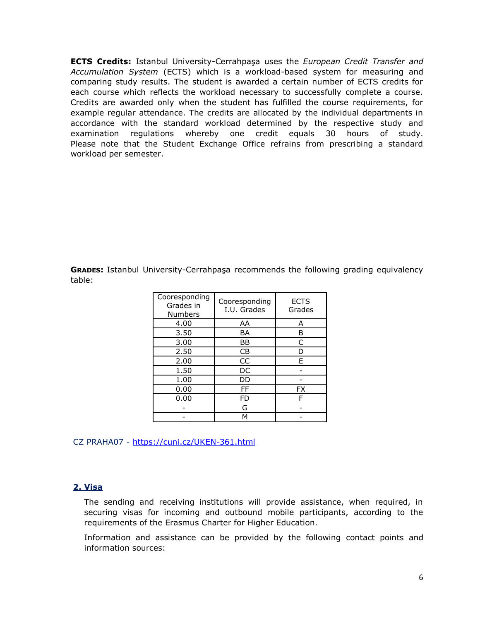**ECTS Credits:** Istanbul University-Cerrahpaşa uses the *European Credit Transfer and Accumulation System* (ECTS) which is a workload-based system for measuring and comparing study results. The student is awarded a certain number of ECTS credits for each course which reflects the workload necessary to successfully complete a course. Credits are awarded only when the student has fulfilled the course requirements, for example regular attendance. The credits are allocated by the individual departments in accordance with the standard workload determined by the respective study and examination regulations whereby one credit equals 30 hours of study. Please note that the Student Exchange Office refrains from prescribing a standard workload per semester.

**GRADES:** Istanbul University-Cerrahpaşa recommends the following grading equivalency table:

| Cooresponding<br>Grades in<br><b>Numbers</b> | Cooresponding<br>I.U. Grades | <b>ECTS</b><br>Grades |
|----------------------------------------------|------------------------------|-----------------------|
| 4.00                                         | AA                           | А                     |
| 3.50                                         | BA                           | В                     |
| 3.00                                         | ΒB                           | C                     |
| 2.50                                         | CB                           | D                     |
| 2.00                                         | CC                           | F                     |
| 1.50                                         | DC                           |                       |
| 1.00                                         | DD                           |                       |
| 0.00                                         | FF                           | FX                    |
| 0.00                                         | FD                           | F                     |
|                                              | G                            |                       |
|                                              | м                            |                       |

CZ PRAHA07 - <https://cuni.cz/UKEN-361.html>

#### **2. Visa**

The sending and receiving institutions will provide assistance, when required, in securing visas for incoming and outbound mobile participants, according to the requirements of the Erasmus Charter for Higher Education.

Information and assistance can be provided by the following contact points and information sources: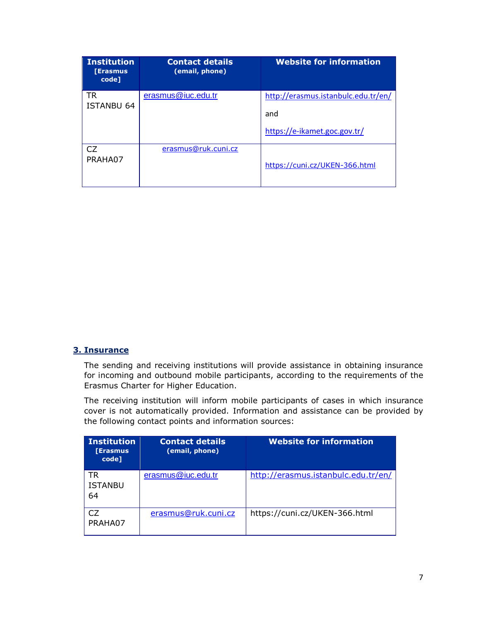| <b>Institution</b><br><b>[Erasmus</b><br>code] | <b>Contact details</b><br>(email, phone) | <b>Website for information</b>             |
|------------------------------------------------|------------------------------------------|--------------------------------------------|
| TR<br>ISTANBU 64                               | erasmus@iuc.edu.tr                       | http://erasmus.istanbulc.edu.tr/en/<br>and |
|                                                |                                          | https://e-ikamet.goc.gov.tr/               |
| CZ.<br>PRAHA07                                 | erasmus@ruk.cuni.cz                      | https://cuni.cz/UKEN-366.html              |

#### **3. Insurance**

The sending and receiving institutions will provide assistance in obtaining insurance for incoming and outbound mobile participants, according to the requirements of the Erasmus Charter for Higher Education.

The receiving institution will inform mobile participants of cases in which insurance cover is not automatically provided. Information and assistance can be provided by the following contact points and information sources:

| <b>Institution</b><br><b>[Erasmus</b><br>code] | <b>Contact details</b><br>(email, phone) | <b>Website for information</b>      |
|------------------------------------------------|------------------------------------------|-------------------------------------|
| TR<br><b>ISTANBU</b><br>64                     | erasmus@iuc.edu.tr                       | http://erasmus.istanbulc.edu.tr/en/ |
| ٢.7<br>PRAHA07                                 | erasmus@ruk.cuni.cz                      | https://cuni.cz/UKEN-366.html       |